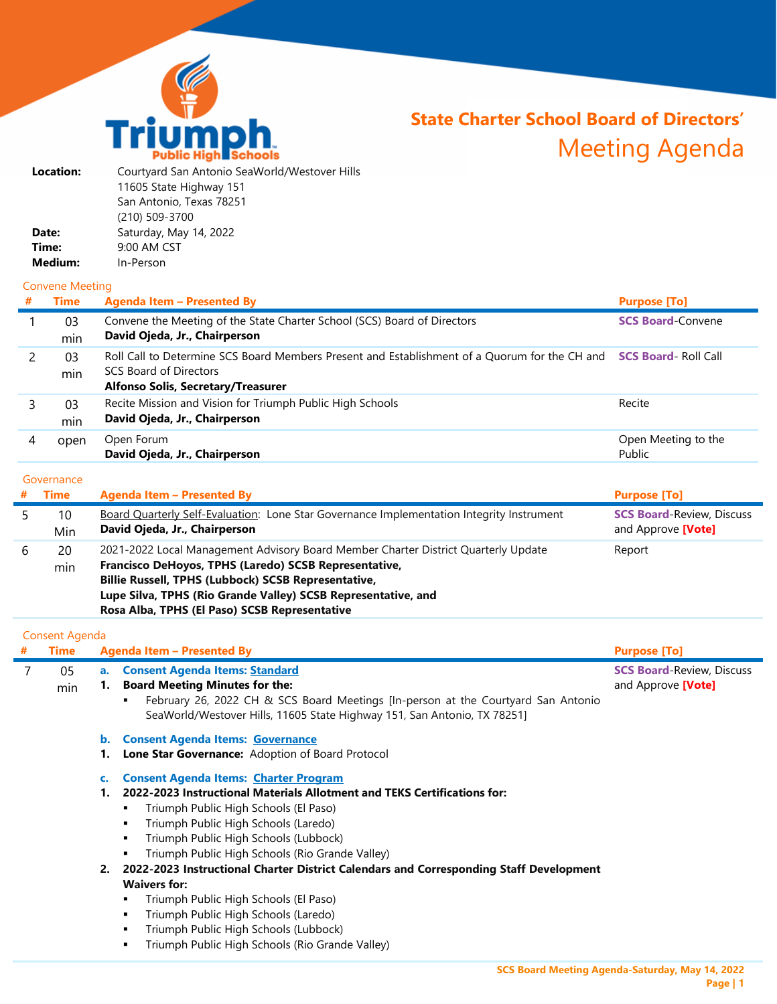

# **State Charter School Board of Directors'**  Meeting Agenda

| Courtyard San Antonio SeaWorld/Westover Hills |
|-----------------------------------------------|
| 11605 State Highway 151                       |
| San Antonio, Texas 78251                      |
| (210) 509-3700                                |
| Saturday, May 14, 2022                        |
| 9:00 AM CST                                   |
| In-Person                                     |
|                                               |

### Convene Meeting

|   |           | <b>Agenda Item - Presented By</b>                                                                                                                                                                | <b>Purpose [To]</b>           |
|---|-----------|--------------------------------------------------------------------------------------------------------------------------------------------------------------------------------------------------|-------------------------------|
|   | 03<br>min | Convene the Meeting of the State Charter School (SCS) Board of Directors<br>David Ojeda, Jr., Chairperson                                                                                        | <b>SCS Board-Convene</b>      |
|   | 03<br>min | Roll Call to Determine SCS Board Members Present and Establishment of a Quorum for the CH and SCS Board- Roll Call<br><b>SCS Board of Directors</b><br><b>Alfonso Solis, Secretary/Treasurer</b> |                               |
|   | 03<br>min | Recite Mission and Vision for Triumph Public High Schools<br>David Ojeda, Jr., Chairperson                                                                                                       | Recite                        |
| 4 | open      | Open Forum<br>David Ojeda, Jr., Chairperson                                                                                                                                                      | Open Meeting to the<br>Public |

#### **Governance**

|   | Time      | <b>Agenda Item - Presented By</b>                                                                                                                                                                                                                                                                                    | <b>Purpose [To]</b>                                    |
|---|-----------|----------------------------------------------------------------------------------------------------------------------------------------------------------------------------------------------------------------------------------------------------------------------------------------------------------------------|--------------------------------------------------------|
|   | 10<br>Min | <b>Board Quarterly Self-Evaluation:</b> Lone Star Governance Implementation Integrity Instrument<br>David Ojeda, Jr., Chairperson                                                                                                                                                                                    | <b>SCS Board-Review, Discuss</b><br>and Approve [Vote] |
| b | 20<br>min | 2021-2022 Local Management Advisory Board Member Charter District Quarterly Update<br>Francisco DeHoyos, TPHS (Laredo) SCSB Representative,<br>Billie Russell, TPHS (Lubbock) SCSB Representative,<br>Lupe Silva, TPHS (Rio Grande Valley) SCSB Representative, and<br>Rosa Alba, TPHS (El Paso) SCSB Representative | Report                                                 |

## Consent Agenda

| # | Time |    | Agenda Item - Presented By                                                             | <b>Purpose [To]</b>              |
|---|------|----|----------------------------------------------------------------------------------------|----------------------------------|
|   | 05   |    | a. Consent Agenda Items: Standard                                                      | <b>SCS Board-Review, Discuss</b> |
|   | min  |    | <b>Board Meeting Minutes for the:</b>                                                  | and Approve [Vote]               |
|   |      |    | February 26, 2022 CH & SCS Board Meetings [In-person at the Courtyard San Antonio      |                                  |
|   |      |    | SeaWorld/Westover Hills, 11605 State Highway 151, San Antonio, TX 78251]               |                                  |
|   |      | b. | <b>Consent Agenda Items: Governance</b>                                                |                                  |
|   |      |    | Lone Star Governance: Adoption of Board Protocol                                       |                                  |
|   |      | c. | <b>Consent Agenda Items: Charter Program</b>                                           |                                  |
|   |      |    | 2022-2023 Instructional Materials Allotment and TEKS Certifications for:               |                                  |
|   |      |    | Triumph Public High Schools (El Paso)                                                  |                                  |
|   |      |    | Triumph Public High Schools (Laredo)                                                   |                                  |
|   |      |    | Triumph Public High Schools (Lubbock)                                                  |                                  |
|   |      |    | Triumph Public High Schools (Rio Grande Valley)                                        |                                  |
|   |      |    | 2022-2023 Instructional Charter District Calendars and Corresponding Staff Development |                                  |
|   |      |    |                                                                                        |                                  |

#### **Waivers for:**

- **Triumph Public High Schools (El Paso)**
- Triumph Public High Schools (Laredo)
- Triumph Public High Schools (Lubbock)
- **Triumph Public High Schools (Rio Grande Valley)**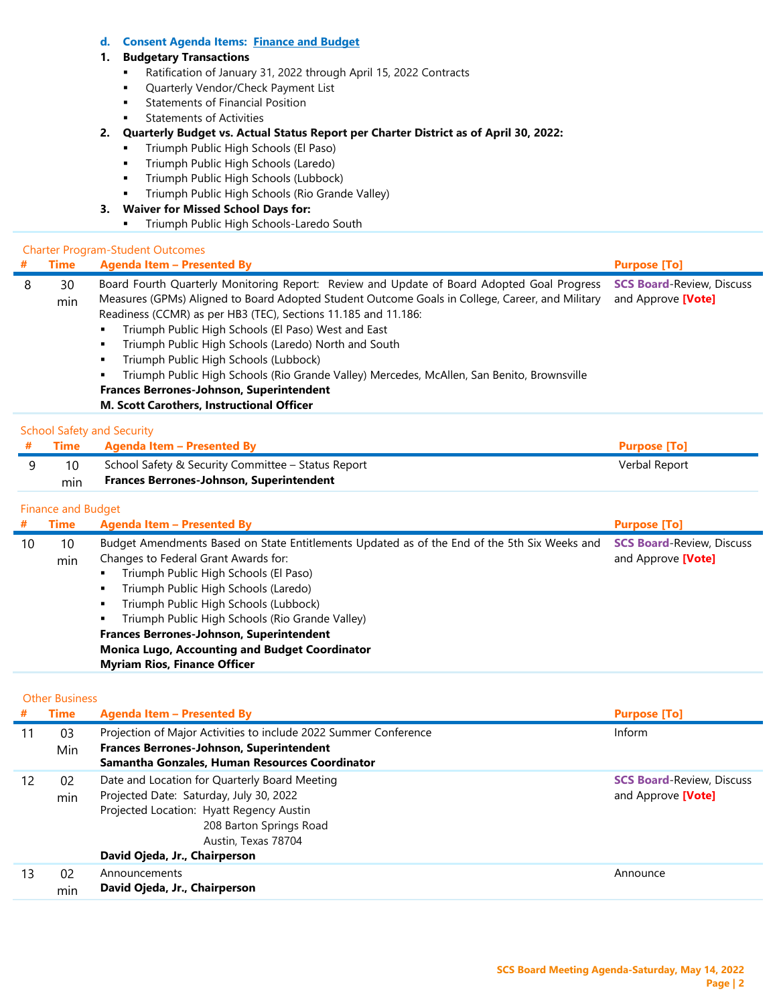#### **d. Consent Agenda Items: Finance and Budget**

#### **1. Budgetary Transactions**

- Ratification of January 31, 2022 through April 15, 2022 Contracts
- **Quarterly Vendor/Check Payment List**
- **Statements of Financial Position**
- Statements of Activities

#### **2. Quarterly Budget vs. Actual Status Report per Charter District as of April 30, 2022:**

- **Triumph Public High Schools (El Paso)**
- **Triumph Public High Schools (Laredo)**
- **Triumph Public High Schools (Lubbock)**
- Triumph Public High Schools (Rio Grande Valley)

### **3. Waiver for Missed School Days for:**

**Triumph Public High Schools-Laredo South** 

#### Charter Program-Student Outcomes

| #  | <b>Time</b>               | <b>Agenda Item - Presented By</b>                                                                                                                                                                                                                                                                                                                                                                                                                                                                                                                                                                                             | <b>Purpose [To]</b>                                    |
|----|---------------------------|-------------------------------------------------------------------------------------------------------------------------------------------------------------------------------------------------------------------------------------------------------------------------------------------------------------------------------------------------------------------------------------------------------------------------------------------------------------------------------------------------------------------------------------------------------------------------------------------------------------------------------|--------------------------------------------------------|
| 8  | 30<br>min                 | Board Fourth Quarterly Monitoring Report: Review and Update of Board Adopted Goal Progress<br>Measures (GPMs) Aligned to Board Adopted Student Outcome Goals in College, Career, and Military<br>Readiness (CCMR) as per HB3 (TEC), Sections 11.185 and 11.186:<br>Triumph Public High Schools (El Paso) West and East<br>٠<br>Triumph Public High Schools (Laredo) North and South<br>٠<br>Triumph Public High Schools (Lubbock)<br>٠<br>Triumph Public High Schools (Rio Grande Valley) Mercedes, McAllen, San Benito, Brownsville<br>Frances Berrones-Johnson, Superintendent<br>M. Scott Carothers, Instructional Officer | <b>SCS Board-Review, Discuss</b><br>and Approve [Vote] |
|    |                           | <b>School Safety and Security</b>                                                                                                                                                                                                                                                                                                                                                                                                                                                                                                                                                                                             |                                                        |
| #  | <b>Time</b>               | <b>Agenda Item - Presented By</b>                                                                                                                                                                                                                                                                                                                                                                                                                                                                                                                                                                                             | <b>Purpose [To]</b>                                    |
| 9  | 10                        | School Safety & Security Committee - Status Report                                                                                                                                                                                                                                                                                                                                                                                                                                                                                                                                                                            | Verbal Report                                          |
|    | min                       | <b>Frances Berrones-Johnson, Superintendent</b>                                                                                                                                                                                                                                                                                                                                                                                                                                                                                                                                                                               |                                                        |
|    | <b>Finance and Budget</b> |                                                                                                                                                                                                                                                                                                                                                                                                                                                                                                                                                                                                                               |                                                        |
| #  | <b>Time</b>               | <b>Agenda Item - Presented By</b>                                                                                                                                                                                                                                                                                                                                                                                                                                                                                                                                                                                             | <b>Purpose [To]</b>                                    |
| 10 | 10<br>min                 | Budget Amendments Based on State Entitlements Updated as of the End of the 5th Six Weeks and<br>Changes to Federal Grant Awards for:<br>Triumph Public High Schools (El Paso)<br>٠<br>Triumph Public High Schools (Laredo)<br>٠<br>Triumph Public High Schools (Lubbock)<br>٠<br>Triumph Public High Schools (Rio Grande Valley)<br>Frances Berrones-Johnson, Superintendent<br><b>Monica Lugo, Accounting and Budget Coordinator</b><br><b>Myriam Rios, Finance Officer</b>                                                                                                                                                  | <b>SCS Board-Review, Discuss</b><br>and Approve [Vote] |
|    |                           |                                                                                                                                                                                                                                                                                                                                                                                                                                                                                                                                                                                                                               |                                                        |

|  | <b>Other Business</b> |
|--|-----------------------|
|  |                       |

|    | <b>Time</b> | <b>Agenda Item - Presented By</b>                                                                                                                                                                                       | <b>Purpose [To]</b>                                    |
|----|-------------|-------------------------------------------------------------------------------------------------------------------------------------------------------------------------------------------------------------------------|--------------------------------------------------------|
|    | 03<br>Min   | Projection of Major Activities to include 2022 Summer Conference<br><b>Frances Berrones-Johnson, Superintendent</b><br>Samantha Gonzales, Human Resources Coordinator                                                   | Inform                                                 |
| 12 | 02<br>min   | Date and Location for Quarterly Board Meeting<br>Projected Date: Saturday, July 30, 2022<br>Projected Location: Hyatt Regency Austin<br>208 Barton Springs Road<br>Austin, Texas 78704<br>David Ojeda, Jr., Chairperson | <b>SCS Board-Review, Discuss</b><br>and Approve [Vote] |
| 13 | 02<br>min   | Announcements<br>David Ojeda, Jr., Chairperson                                                                                                                                                                          | Announce                                               |